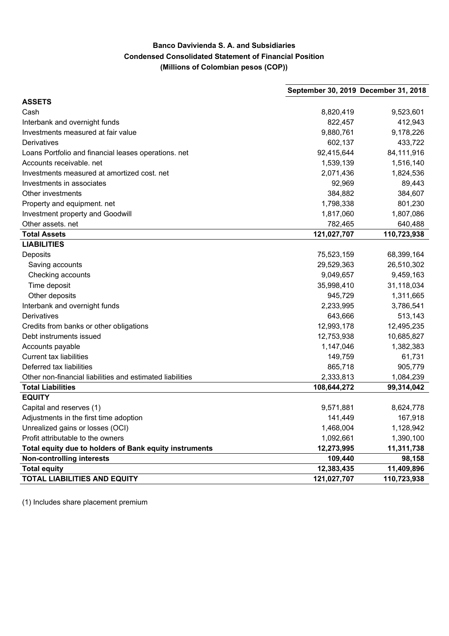## **Banco Davivienda S. A. and Subsidiaries Condensed Consolidated Statement of Financial Position (Millions of Colombian pesos (COP))**

|                                                           | September 30, 2019 December 31, 2018 |             |
|-----------------------------------------------------------|--------------------------------------|-------------|
| <b>ASSETS</b>                                             |                                      |             |
| Cash                                                      | 8,820,419                            | 9,523,601   |
| Interbank and overnight funds                             | 822,457                              | 412,943     |
| Investments measured at fair value                        | 9,880,761                            | 9,178,226   |
| Derivatives                                               | 602,137                              | 433,722     |
| Loans Portfolio and financial leases operations. net      | 92,415,644                           | 84,111,916  |
| Accounts receivable. net                                  | 1,539,139                            | 1,516,140   |
| Investments measured at amortized cost. net               | 2,071,436                            | 1,824,536   |
| Investments in associates                                 | 92,969                               | 89,443      |
| Other investments                                         | 384,882                              | 384,607     |
| Property and equipment. net                               | 1,798,338                            | 801,230     |
| Investment property and Goodwill                          | 1,817,060                            | 1,807,086   |
| Other assets. net                                         | 782,465                              | 640,488     |
| <b>Total Assets</b>                                       | 121,027,707                          | 110,723,938 |
| <b>LIABILITIES</b>                                        |                                      |             |
| Deposits                                                  | 75,523,159                           | 68,399,164  |
| Saving accounts                                           | 29,529,363                           | 26,510,302  |
| Checking accounts                                         | 9,049,657                            | 9,459,163   |
| Time deposit                                              | 35,998,410                           | 31,118,034  |
| Other deposits                                            | 945,729                              | 1,311,665   |
| Interbank and overnight funds                             | 2,233,995                            | 3,786,541   |
| Derivatives                                               | 643,666                              | 513,143     |
| Credits from banks or other obligations                   | 12,993,178                           | 12,495,235  |
| Debt instruments issued                                   | 12,753,938                           | 10,685,827  |
| Accounts payable                                          | 1,147,046                            | 1,382,383   |
| <b>Current tax liabilities</b>                            | 149,759                              | 61,731      |
| Deferred tax liabilities                                  | 865,718                              | 905,779     |
| Other non-financial liabilities and estimated liabilities | 2,333,813                            | 1,084,239   |
| <b>Total Liabilities</b>                                  | 108,644,272                          | 99,314,042  |
| <b>EQUITY</b>                                             |                                      |             |
| Capital and reserves (1)                                  | 9,571,881                            | 8,624,778   |
| Adjustments in the first time adoption                    | 141,449                              | 167,918     |
| Unrealized gains or losses (OCI)                          | 1,468,004                            | 1,128,942   |
| Profit attributable to the owners                         | 1,092,661                            | 1,390,100   |
| Total equity due to holders of Bank equity instruments    | 12,273,995                           | 11,311,738  |
| <b>Non-controlling interests</b>                          | 109,440                              | 98,158      |
| <b>Total equity</b>                                       | 12,383,435                           | 11,409,896  |
| <b>TOTAL LIABILITIES AND EQUITY</b>                       | 121,027,707                          | 110,723,938 |

(1) Includes share placement premium